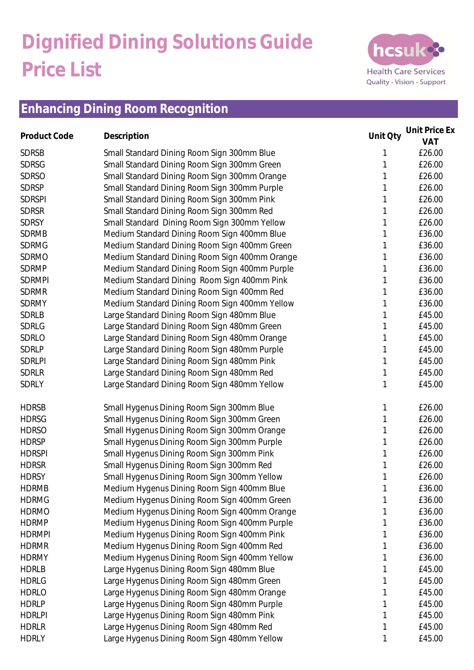# **Dignified Dining Solutions Guide Price List**



#### **Enhancing Dining Room Recognition**

| Product Code  | Description                                   | Unit Qty | Unit Price Ex |
|---------------|-----------------------------------------------|----------|---------------|
|               |                                               |          | VAT           |
| <b>SDRSB</b>  | Small Standard Dining Room Sign 300mm Blue    |          | £26.00        |
| <b>SDRSG</b>  | Small Standard Dining Room Sign 300mm Green   |          | £26.00        |
| <b>SDRSO</b>  | Small Standard Dining Room Sign 300mm Orange  |          | £26.00        |
| <b>SDRSP</b>  | Small Standard Dining Room Sign 300mm Purple  |          | £26.00        |
| <b>SDRSPI</b> | Small Standard Dining Room Sign 300mm Pink    |          | £26.00        |
| <b>SDRSR</b>  | Small Standard Dining Room Sign 300mm Red     |          | £26.00        |
| <b>SDRSY</b>  | Small Standard Dining Room Sign 300mm Yellow  |          | £26.00        |
| <b>SDRMB</b>  | Medium Standard Dining Room Sign 400mm Blue   |          | £36.00        |
| <b>SDRMG</b>  | Medium Standard Dining Room Sign 400mm Green  | 1        | £36.00        |
| <b>SDRMO</b>  | Medium Standard Dining Room Sign 400mm Orange |          | £36.00        |
| <b>SDRMP</b>  | Medium Standard Dining Room Sign 400mm Purple |          | £36.00        |
| <b>SDRMPI</b> | Medium Standard Dining Room Sign 400mm Pink   |          | £36.00        |
| <b>SDRMR</b>  | Medium Standard Dining Room Sign 400mm Red    |          | £36.00        |
| <b>SDRMY</b>  | Medium Standard Dining Room Sign 400mm Yellow |          | £36.00        |
| <b>SDRLB</b>  | Large Standard Dining Room Sign 480mm Blue    |          | £45.00        |
| <b>SDRLG</b>  | Large Standard Dining Room Sign 480mm Green   |          | £45.00        |
| <b>SDRLO</b>  | Large Standard Dining Room Sign 480mm Orange  |          | £45.00        |
| SDRLP         | Large Standard Dining Room Sign 480mm Purple  |          | £45.00        |
| <b>SDRLPI</b> | Large Standard Dining Room Sign 480mm Pink    |          | £45.00        |
| <b>SDRLR</b>  | Large Standard Dining Room Sign 480mm Red     | 1        | £45.00        |
| SDRLY         | Large Standard Dining Room Sign 480mm Yellow  | 1        | £45.00        |
| <b>HDRSB</b>  | Small Hygenus Dining Room Sign 300mm Blue     | 1        | £26.00        |
| <b>HDRSG</b>  | Small Hygenus Dining Room Sign 300mm Green    |          | £26.00        |
| <b>HDRSO</b>  | Small Hygenus Dining Room Sign 300mm Orange   |          | £26.00        |
| <b>HDRSP</b>  | Small Hygenus Dining Room Sign 300mm Purple   |          | £26.00        |
| <b>HDRSPI</b> | Small Hygenus Dining Room Sign 300mm Pink     |          | £26.00        |
| <b>HDRSR</b>  | Small Hygenus Dining Room Sign 300mm Red      | 1        | £26.00        |
| <b>HDRSY</b>  | Small Hygenus Dining Room Sign 300mm Yellow   | 1        | £26.00        |
| <b>HDRMB</b>  | Medium Hygenus Dining Room Sign 400mm Blue    |          | £36.00        |
| <b>HDRMG</b>  | Medium Hygenus Dining Room Sign 400mm Green   |          | £36.00        |
| <b>HDRMO</b>  | Medium Hygenus Dining Room Sign 400mm Orange  |          | £36.00        |
| <b>HDRMP</b>  | Medium Hygenus Dining Room Sign 400mm Purple  |          | £36.00        |
| <b>HDRMPI</b> | Medium Hygenus Dining Room Sign 400mm Pink    |          | £36.00        |
| <b>HDRMR</b>  | Medium Hygenus Dining Room Sign 400mm Red     |          | £36.00        |
| <b>HDRMY</b>  | Medium Hygenus Dining Room Sign 400mm Yellow  |          | £36.00        |
| <b>HDRLB</b>  | Large Hygenus Dining Room Sign 480mm Blue     |          | £45.00        |
| <b>HDRLG</b>  | Large Hygenus Dining Room Sign 480mm Green    |          | £45.00        |
| <b>HDRLO</b>  | Large Hygenus Dining Room Sign 480mm Orange   |          | £45.00        |
| <b>HDRLP</b>  | Large Hygenus Dining Room Sign 480mm Purple   |          | £45.00        |
| <b>HDRLPI</b> | Large Hygenus Dining Room Sign 480mm Pink     | 1        | £45.00        |
| <b>HDRLR</b>  | Large Hygenus Dining Room Sign 480mm Red      | 1        | £45.00        |
| <b>HDRLY</b>  | Large Hygenus Dining Room Sign 480mm Yellow   | 1        | £45.00        |
|               |                                               |          |               |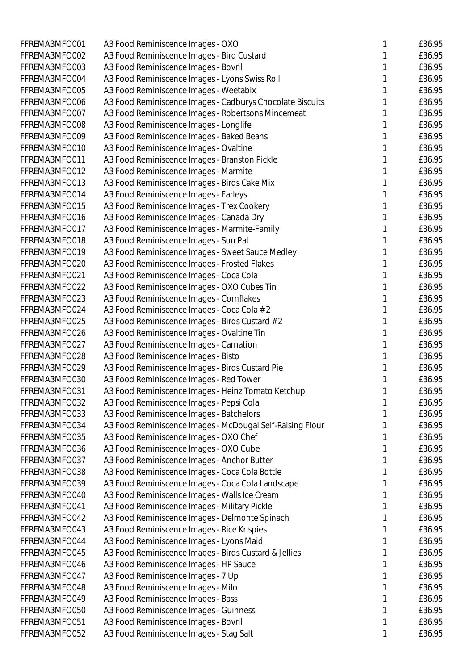| FFREMA3MFO001 | A3 Food Reminiscence Images - OXO                         | £36.95 |
|---------------|-----------------------------------------------------------|--------|
| FFREMA3MFO002 | A3 Food Reminiscence Images - Bird Custard                | £36.95 |
| FFREMA3MFO003 | A3 Food Reminiscence Images - Bovril                      | £36.95 |
| FFREMA3MFO004 | A3 Food Reminiscence Images - Lyons Swiss Roll            | £36.95 |
| FFREMA3MFO005 | A3 Food Reminiscence Images - Weetabix                    | £36.95 |
| FFREMA3MFO006 | A3 Food Reminiscence Images - Cadburys Chocolate Biscuits | £36.95 |
| FFREMA3MFO007 | A3 Food Reminiscence Images - Robertsons Mincemeat        | £36.95 |
| FFREMA3MFO008 | A3 Food Reminiscence Images - Longlife                    | £36.95 |
| FFREMA3MFO009 | A3 Food Reminiscence Images - Baked Beans                 | £36.95 |
| FFREMA3MFO010 | A3 Food Reminiscence Images - Ovaltine                    | £36.95 |
| FFREMA3MFO011 | A3 Food Reminiscence Images - Branston Pickle             | £36.95 |
| FFREMA3MFO012 | A3 Food Reminiscence Images - Marmite                     | £36.95 |
| FFREMA3MFO013 | A3 Food Reminiscence Images - Birds Cake Mix              | £36.95 |
| FFREMA3MFO014 | A3 Food Reminiscence Images - Farleys                     | £36.95 |
| FFREMA3MFO015 | A3 Food Reminiscence Images - Trex Cookery                | £36.95 |
| FFREMA3MFO016 | A3 Food Reminiscence Images - Canada Dry                  | £36.95 |
| FFREMA3MFO017 | A3 Food Reminiscence Images - Marmite-Family              | £36.95 |
| FFREMA3MFO018 | A3 Food Reminiscence Images - Sun Pat                     | £36.95 |
| FFREMA3MFO019 | A3 Food Reminiscence Images - Sweet Sauce Medley          | £36.95 |
| FFREMA3MFO020 | A3 Food Reminiscence Images - Frosted Flakes              | £36.95 |
| FFREMA3MFO021 | A3 Food Reminiscence Images - Coca Cola                   | £36.95 |
| FFREMA3MFO022 | A3 Food Reminiscence Images - OXO Cubes Tin               | £36.95 |
| FFREMA3MFO023 | A3 Food Reminiscence Images - Cornflakes                  | £36.95 |
| FFREMA3MFO024 | A3 Food Reminiscence Images - Coca Cola # 2               | £36.95 |
| FFREMA3MFO025 | A3 Food Reminiscence Images - Birds Custard # 2           | £36.95 |
| FFREMA3MFO026 | A3 Food Reminiscence Images - Ovaltine Tin                | £36.95 |
| FFREMA3MFO027 | A3 Food Reminiscence Images - Carnation                   | £36.95 |
| FFREMA3MFO028 | A3 Food Reminiscence Images - Bisto                       | £36.95 |
| FFREMA3MFO029 | A3 Food Reminiscence Images - Birds Custard Pie           | £36.95 |
| FFREMA3MFO030 | A3 Food Reminiscence Images - Red Tower                   | £36.95 |
| FFREMA3MFO031 | A3 Food Reminiscence Images - Heinz Tomato Ketchup        | £36.95 |
| FFREMA3MFO032 | A3 Food Reminiscence Images - Pepsi Cola                  | £36.95 |
| FFREMA3MFO033 | A3 Food Reminiscence Images - Batchelors                  | £36.95 |
| FFREMA3MFO034 | A3 Food Reminiscence Images - McDougal Self-Raising Flour | £36.95 |
| FFREMA3MFO035 | A3 Food Reminiscence Images - OXO Chef                    | £36.95 |
| FFREMA3MFO036 | A3 Food Reminiscence Images - OXO Cube                    | £36.95 |
| FFREMA3MFO037 | A3 Food Reminiscence Images - Anchor Butter               | £36.95 |
| FFREMA3MFO038 | A3 Food Reminiscence Images - Coca Cola Bottle            | £36.95 |
| FFREMA3MFO039 | A3 Food Reminiscence Images - Coca Cola Landscape         | £36.95 |
| FFREMA3MFO040 | A3 Food Reminiscence Images - Walls Ice Cream             | £36.95 |
| FFREMA3MFO041 | A3 Food Reminiscence Images - Military Pickle             | £36.95 |
| FFREMA3MFO042 | A3 Food Reminiscence Images - Delmonte Spinach            | £36.95 |
| FFREMA3MFO043 | A3 Food Reminiscence Images - Rice Krispies               | £36.95 |
| FFREMA3MFO044 | A3 Food Reminiscence Images - Lyons Maid                  | £36.95 |
| FFREMA3MFO045 | A3 Food Reminiscence Images - Birds Custard & Jellies     | £36.95 |
| FFREMA3MFO046 | A3 Food Reminiscence Images - HP Sauce                    | £36.95 |
| FFREMA3MFO047 | A3 Food Reminiscence Images - 7 Up                        | £36.95 |
| FFREMA3MFO048 | A3 Food Reminiscence Images - Milo                        | £36.95 |
| FFREMA3MFO049 | A3 Food Reminiscence Images - Bass                        | £36.95 |
| FFREMA3MFO050 | A3 Food Reminiscence Images - Guinness                    | £36.95 |
| FFREMA3MFO051 | A3 Food Reminiscence Images - Bovril                      | £36.95 |
| FFREMA3MFO052 | A3 Food Reminiscence Images - Stag Salt                   | £36.95 |
|               |                                                           |        |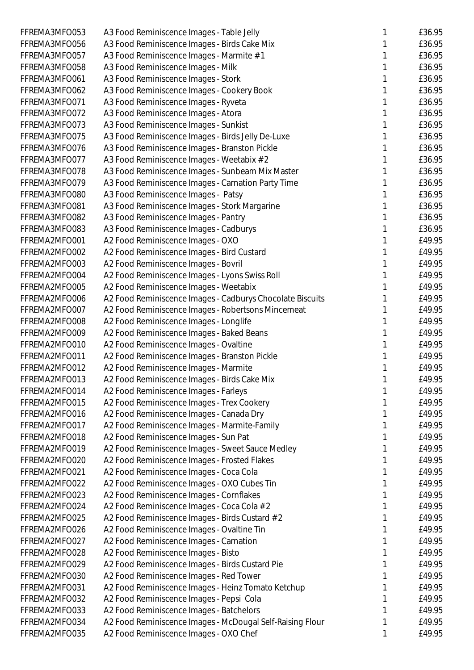| FFREMA3MFO053 | A3 Food Reminiscence Images - Table Jelly                 |   | £36.95 |
|---------------|-----------------------------------------------------------|---|--------|
| FFREMA3MFO056 | A3 Food Reminiscence Images - Birds Cake Mix              |   | £36.95 |
| FFREMA3MFO057 | A3 Food Reminiscence Images - Marmite # 1                 |   | £36.95 |
| FFREMA3MFO058 | A3 Food Reminiscence Images - Milk                        |   | £36.95 |
| FFREMA3MFO061 | A3 Food Reminiscence Images - Stork                       |   | £36.95 |
| FFREMA3MFO062 | A3 Food Reminiscence Images - Cookery Book                |   | £36.95 |
| FFREMA3MFO071 | A3 Food Reminiscence Images - Ryveta                      |   | £36.95 |
| FFREMA3MFO072 | A3 Food Reminiscence Images - Atora                       |   | £36.95 |
| FFREMA3MFO073 | A3 Food Reminiscence Images - Sunkist                     |   | £36.95 |
| FFREMA3MFO075 | A3 Food Reminiscence Images - Birds Jelly De-Luxe         |   | £36.95 |
| FFREMA3MFO076 | A3 Food Reminiscence Images - Branston Pickle             |   | £36.95 |
| FFREMA3MFO077 |                                                           |   | £36.95 |
| FFREMA3MFO078 | A3 Food Reminiscence Images - Weetabix # 2                |   | £36.95 |
|               | A3 Food Reminiscence Images - Sunbeam Mix Master          |   |        |
| FFREMA3MFO079 | A3 Food Reminiscence Images - Carnation Party Time        |   | £36.95 |
| FFREMA3MFO080 | A3 Food Reminiscence Images - Patsy                       |   | £36.95 |
| FFREMA3MFO081 | A3 Food Reminiscence Images - Stork Margarine             |   | £36.95 |
| FFREMA3MFO082 | A3 Food Reminiscence Images - Pantry                      |   | £36.95 |
| FFREMA3MFO083 | A3 Food Reminiscence Images - Cadburys                    |   | £36.95 |
| FFREMA2MFO001 | A2 Food Reminiscence Images - OXO                         |   | £49.95 |
| FFREMA2MFO002 | A2 Food Reminiscence Images - Bird Custard                |   | £49.95 |
| FFREMA2MFO003 | A2 Food Reminiscence Images - Bovril                      |   | £49.95 |
| FFREMA2MFO004 | A2 Food Reminiscence Images - Lyons Swiss Roll            |   | £49.95 |
| FFREMA2MFO005 | A2 Food Reminiscence Images - Weetabix                    |   | £49.95 |
| FFREMA2MFO006 | A2 Food Reminiscence Images - Cadburys Chocolate Biscuits |   | £49.95 |
| FFREMA2MFO007 | A2 Food Reminiscence Images - Robertsons Mincemeat        |   | £49.95 |
| FFREMA2MFO008 | A2 Food Reminiscence Images - Longlife                    |   | £49.95 |
| FFREMA2MFO009 | A2 Food Reminiscence Images - Baked Beans                 |   | £49.95 |
| FFREMA2MFO010 | A2 Food Reminiscence Images - Ovaltine                    |   | £49.95 |
| FFREMA2MFO011 | A2 Food Reminiscence Images - Branston Pickle             |   | £49.95 |
| FFREMA2MFO012 | A2 Food Reminiscence Images - Marmite                     |   | £49.95 |
| FFREMA2MFO013 | A2 Food Reminiscence Images - Birds Cake Mix              | 1 | £49.95 |
| FFREMA2MFO014 | A2 Food Reminiscence Images - Farleys                     |   | £49.95 |
| FFREMA2MFO015 | A2 Food Reminiscence Images - Trex Cookery                |   | £49.95 |
| FFREMA2MFO016 | A2 Food Reminiscence Images - Canada Dry                  |   | £49.95 |
| FFREMA2MFO017 | A2 Food Reminiscence Images - Marmite-Family              |   | £49.95 |
| FFREMA2MFO018 | A2 Food Reminiscence Images - Sun Pat                     |   | £49.95 |
| FFREMA2MFO019 | A2 Food Reminiscence Images - Sweet Sauce Medley          |   | £49.95 |
| FFREMA2MFO020 | A2 Food Reminiscence Images - Frosted Flakes              |   | £49.95 |
| FFREMA2MFO021 | A2 Food Reminiscence Images - Coca Cola                   |   | £49.95 |
| FFREMA2MFO022 | A2 Food Reminiscence Images - OXO Cubes Tin               |   | £49.95 |
| FFREMA2MFO023 | A2 Food Reminiscence Images - Cornflakes                  |   | £49.95 |
| FFREMA2MFO024 | A2 Food Reminiscence Images - Coca Cola # 2               |   | £49.95 |
| FFREMA2MFO025 | A2 Food Reminiscence Images - Birds Custard # 2           |   | £49.95 |
| FFREMA2MFO026 | A2 Food Reminiscence Images - Ovaltine Tin                | 1 | £49.95 |
| FFREMA2MFO027 |                                                           |   | £49.95 |
|               | A2 Food Reminiscence Images - Carnation                   |   |        |
| FFREMA2MFO028 | A2 Food Reminiscence Images - Bisto                       |   | £49.95 |
| FFREMA2MFO029 | A2 Food Reminiscence Images - Birds Custard Pie           |   | £49.95 |
| FFREMA2MFO030 | A2 Food Reminiscence Images - Red Tower                   |   | £49.95 |
| FFREMA2MFO031 | A2 Food Reminiscence Images - Heinz Tomato Ketchup        |   | £49.95 |
| FFREMA2MFO032 | A2 Food Reminiscence Images - Pepsi Cola                  |   | £49.95 |
| FFREMA2MFO033 | A2 Food Reminiscence Images - Batchelors                  |   | £49.95 |
| FFREMA2MFO034 | A2 Food Reminiscence Images - McDougal Self-Raising Flour |   | £49.95 |
| FFREMA2MFO035 | A2 Food Reminiscence Images - OXO Chef                    | 1 | £49.95 |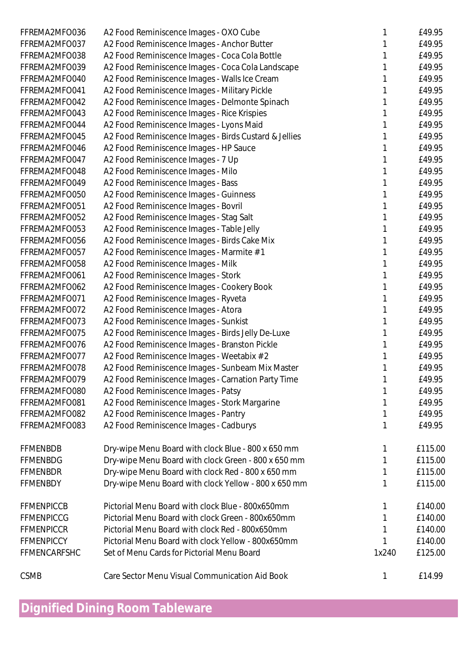| FFREMA2MFO036     | A2 Food Reminiscence Images - OXO Cube                |       | £49.95  |
|-------------------|-------------------------------------------------------|-------|---------|
| FFREMA2MFO037     | A2 Food Reminiscence Images - Anchor Butter           |       | £49.95  |
| FFREMA2MFO038     | A2 Food Reminiscence Images - Coca Cola Bottle        |       | £49.95  |
| FFREMA2MFO039     | A2 Food Reminiscence Images - Coca Cola Landscape     |       | £49.95  |
| FFREMA2MFO040     | A2 Food Reminiscence Images - Walls Ice Cream         |       | £49.95  |
| FFREMA2MFO041     | A2 Food Reminiscence Images - Military Pickle         |       | £49.95  |
| FFREMA2MFO042     | A2 Food Reminiscence Images - Delmonte Spinach        |       | £49.95  |
| FFREMA2MFO043     | A2 Food Reminiscence Images - Rice Krispies           |       | £49.95  |
| FFREMA2MFO044     | A2 Food Reminiscence Images - Lyons Maid              |       | £49.95  |
| FFREMA2MFO045     | A2 Food Reminiscence Images - Birds Custard & Jellies |       | £49.95  |
| FFREMA2MFO046     | A2 Food Reminiscence Images - HP Sauce                |       | £49.95  |
| FFREMA2MFO047     | A2 Food Reminiscence Images - 7 Up                    |       | £49.95  |
| FFREMA2MFO048     | A2 Food Reminiscence Images - Milo                    |       | £49.95  |
| FFREMA2MFO049     | A2 Food Reminiscence Images - Bass                    |       | £49.95  |
| FFREMA2MFO050     | A2 Food Reminiscence Images - Guinness                |       | £49.95  |
| FFREMA2MFO051     | A2 Food Reminiscence Images - Bovril                  |       | £49.95  |
| FFREMA2MFO052     | A2 Food Reminiscence Images - Stag Salt               |       | £49.95  |
| FFREMA2MFO053     | A2 Food Reminiscence Images - Table Jelly             |       | £49.95  |
| FFREMA2MFO056     | A2 Food Reminiscence Images - Birds Cake Mix          |       | £49.95  |
| FFREMA2MFO057     | A2 Food Reminiscence Images - Marmite # 1             |       | £49.95  |
| FFREMA2MFO058     | A2 Food Reminiscence Images - Milk                    |       | £49.95  |
| FFREMA2MFO061     | A2 Food Reminiscence Images - Stork                   |       | £49.95  |
| FFREMA2MFO062     | A2 Food Reminiscence Images - Cookery Book            |       | £49.95  |
| FFREMA2MFO071     | A2 Food Reminiscence Images - Ryveta                  |       | £49.95  |
| FFREMA2MFO072     | A2 Food Reminiscence Images - Atora                   |       | £49.95  |
| FFREMA2MFO073     | A2 Food Reminiscence Images - Sunkist                 |       | £49.95  |
| FFREMA2MFO075     | A2 Food Reminiscence Images - Birds Jelly De-Luxe     |       | £49.95  |
| FFREMA2MFO076     | A2 Food Reminiscence Images - Branston Pickle         |       | £49.95  |
| FFREMA2MFO077     |                                                       |       | £49.95  |
|                   | A2 Food Reminiscence Images - Weetabix # 2            |       | £49.95  |
| FFREMA2MFO078     | A2 Food Reminiscence Images - Sunbeam Mix Master      |       | £49.95  |
| FFREMA2MFO079     | A2 Food Reminiscence Images - Carnation Party Time    |       |         |
| FFREMA2MFO080     | A2 Food Reminiscence Images - Patsy                   |       | £49.95  |
| FFREMA2MFO081     | A2 Food Reminiscence Images - Stork Margarine         |       | £49.95  |
| FFREMA2MFO082     | A2 Food Reminiscence Images - Pantry                  |       | £49.95  |
| FFREMA2MFO083     | A2 Food Reminiscence Images - Cadburys                |       | £49.95  |
| <b>FFMENBDB</b>   | Dry-wipe Menu Board with clock Blue - 800 x 650 mm    |       | £115.00 |
| <b>FFMENBDG</b>   | Dry-wipe Menu Board with clock Green - 800 x 650 mm   |       | £115.00 |
| <b>FFMENBDR</b>   | Dry-wipe Menu Board with clock Red - 800 x 650 mm     |       | £115.00 |
| <b>FFMENBDY</b>   | Dry-wipe Menu Board with clock Yellow - 800 x 650 mm  |       | £115.00 |
| <b>FFMENPICCB</b> | Pictorial Menu Board with clock Blue - 800x650mm      |       | £140.00 |
| <b>FFMENPICCG</b> | Pictorial Menu Board with clock Green - 800x650mm     |       | £140.00 |
| <b>FFMENPICCR</b> | Pictorial Menu Board with clock Red - 800x650mm       |       | £140.00 |
| <b>FFMENPICCY</b> | Pictorial Menu Board with clock Yellow - 800x650mm    |       | £140.00 |
| FFMENCARFSHC      | Set of Menu Cards for Pictorial Menu Board            | 1x240 | £125.00 |
|                   |                                                       |       |         |
| <b>CSMB</b>       | Care Sector Menu Visual Communication Aid Book        |       | £14.99  |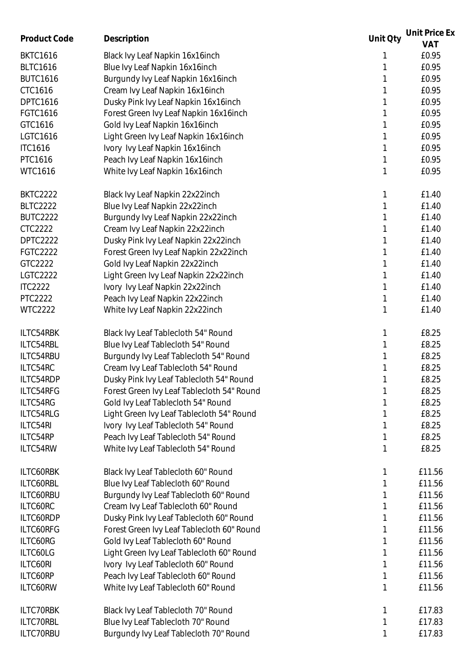| Product Code    |                                            | Unit Oty | Unit Price Ex |
|-----------------|--------------------------------------------|----------|---------------|
|                 | Description                                |          | <b>VAT</b>    |
| <b>BKTC1616</b> | Black Ivy Leaf Napkin 16x16inch            |          | £0.95         |
| <b>BLTC1616</b> | Blue Ivy Leaf Napkin 16x16inch             |          | £0.95         |
| <b>BUTC1616</b> | Burgundy Ivy Leaf Napkin 16x16inch         |          | £0.95         |
| CTC1616         | Cream Ivy Leaf Napkin 16x16inch            |          | £0.95         |
| <b>DPTC1616</b> | Dusky Pink Ivy Leaf Napkin 16x16inch       |          | £0.95         |
| FGTC1616        | Forest Green Ivy Leaf Napkin 16x16inch     |          | £0.95         |
| GTC1616         | Gold Ivy Leaf Napkin 16x16inch             |          | £0.95         |
| LGTC1616        | Light Green Ivy Leaf Napkin 16x16inch      |          | £0.95         |
| <b>ITC1616</b>  | Ivory Ivy Leaf Napkin 16x16inch            |          | £0.95         |
| PTC1616         |                                            |          | £0.95         |
|                 | Peach Ivy Leaf Napkin 16x16inch            |          |               |
| <b>WTC1616</b>  | White Ivy Leaf Napkin 16x16inch            | 1        | £0.95         |
| <b>BKTC2222</b> | Black Ivy Leaf Napkin 22x22inch            | 1        | £1.40         |
| <b>BLTC2222</b> | Blue Ivy Leaf Napkin 22x22inch             |          | £1.40         |
| <b>BUTC2222</b> | Burgundy Ivy Leaf Napkin 22x22inch         |          | £1.40         |
| CTC2222         | Cream Ivy Leaf Napkin 22x22inch            |          | £1.40         |
| DPTC2222        | Dusky Pink Ivy Leaf Napkin 22x22inch       |          | £1.40         |
| <b>FGTC2222</b> | Forest Green Ivy Leaf Napkin 22x22inch     |          | £1.40         |
| GTC2222         | Gold Ivy Leaf Napkin 22x22inch             |          | £1.40         |
|                 |                                            |          |               |
| <b>LGTC2222</b> | Light Green Ivy Leaf Napkin 22x22inch      |          | £1.40         |
| <b>ITC2222</b>  | Ivory Ivy Leaf Napkin 22x22inch            |          | £1.40         |
| <b>PTC2222</b>  | Peach Ivy Leaf Napkin 22x22inch            |          | £1.40         |
| <b>WTC2222</b>  | White Ivy Leaf Napkin 22x22inch            |          | £1.40         |
| ILTC54RBK       | Black Ivy Leaf Tablecloth 54" Round        | 1        | £8.25         |
| ILTC54RBL       | Blue Ivy Leaf Tablecloth 54" Round         |          | £8.25         |
| ILTC54RBU       | Burgundy Ivy Leaf Tablecloth 54" Round     |          | £8.25         |
| ILTC54RC        | Cream Ivy Leaf Tablecloth 54" Round        |          | £8.25         |
| ILTC54RDP       | Dusky Pink Ivy Leaf Tablecloth 54" Round   | 1        | £8.25         |
| ILTC54RFG       | Forest Green Ivy Leaf Tablecloth 54" Round |          | £8.25         |
| ILTC54RG        | Gold Ivy Leaf Tablecloth 54" Round         |          | £8.25         |
| ILTC54RLG       | Light Green Ivy Leaf Tablecloth 54" Round  |          | £8.25         |
| ILTC54RI        |                                            |          | £8.25         |
|                 | Ivory Ivy Leaf Tablecloth 54" Round        |          |               |
| ILTC54RP        | Peach Ivy Leaf Tablecloth 54" Round        |          | £8.25         |
| ILTC54RW        | White Ivy Leaf Tablecloth 54" Round        |          | £8.25         |
| ILTC60RBK       | Black Ivy Leaf Tablecloth 60" Round        |          | £11.56        |
| ILTC60RBL       | Blue Ivy Leaf Tablecloth 60" Round         |          | £11.56        |
| ILTC60RBU       | Burgundy Ivy Leaf Tablecloth 60" Round     |          | £11.56        |
| ILTC60RC        | Cream Ivy Leaf Tablecloth 60" Round        |          | £11.56        |
| ILTC60RDP       | Dusky Pink Ivy Leaf Tablecloth 60" Round   |          | £11.56        |
| ILTC60RFG       | Forest Green Ivy Leaf Tablecloth 60" Round |          | £11.56        |
| ILTC60RG        | Gold Ivy Leaf Tablecloth 60" Round         |          | £11.56        |
| ILTC60LG        | Light Green Ivy Leaf Tablecloth 60" Round  |          | £11.56        |
| ILTC60RI        | Ivory Ivy Leaf Tablecloth 60" Round        |          | £11.56        |
|                 |                                            |          |               |
| ILTC60RP        | Peach Ivy Leaf Tablecloth 60" Round        |          | £11.56        |
| ILTC60RW        | White Ivy Leaf Tablecloth 60" Round        |          | £11.56        |
| ILTC70RBK       | Black Ivy Leaf Tablecloth 70" Round        |          | £17.83        |
| ILTC70RBL       | Blue Ivy Leaf Tablecloth 70" Round         |          | £17.83        |
| ILTC70RBU       | Burgundy Ivy Leaf Tablecloth 70" Round     | 1        | £17.83        |
|                 |                                            |          |               |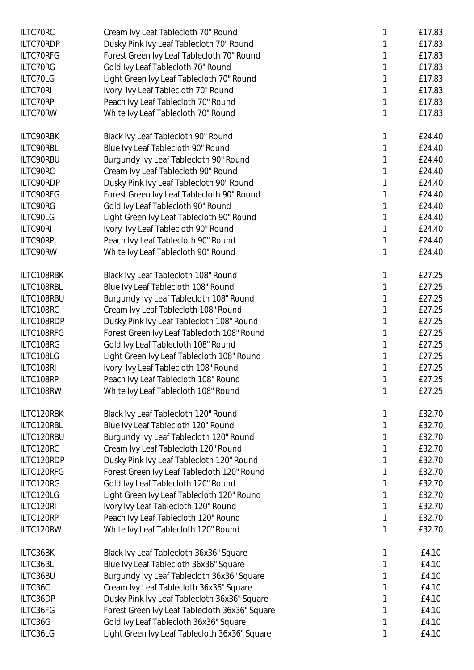| ILTC70RC   | Cream Ivy Leaf Tablecloth 70" Round            |   | £17.83 |
|------------|------------------------------------------------|---|--------|
| ILTC70RDP  | Dusky Pink Ivy Leaf Tablecloth 70" Round       |   | £17.83 |
| ILTC70RFG  | Forest Green Ivy Leaf Tablecloth 70" Round     |   | £17.83 |
| ILTC70RG   | Gold Ivy Leaf Tablecloth 70" Round             |   | £17.83 |
| ILTC70LG   | Light Green Ivy Leaf Tablecloth 70" Round      |   | £17.83 |
| ILTC70RI   | Ivory Ivy Leaf Tablecloth 70" Round            |   | £17.83 |
| ILTC70RP   | Peach Ivy Leaf Tablecloth 70" Round            |   | £17.83 |
| ILTC70RW   | White Ivy Leaf Tablecloth 70" Round            |   | £17.83 |
|            |                                                |   |        |
| ILTC90RBK  | Black Ivy Leaf Tablecloth 90" Round            |   | £24.40 |
| ILTC90RBL  | Blue Ivy Leaf Tablecloth 90" Round             |   | £24.40 |
| ILTC90RBU  | Burgundy Ivy Leaf Tablecloth 90" Round         |   | £24.40 |
| ILTC90RC   | Cream Ivy Leaf Tablecloth 90" Round            |   | £24.40 |
| ILTC90RDP  | Dusky Pink Ivy Leaf Tablecloth 90" Round       |   | £24.40 |
| ILTC90RFG  | Forest Green Ivy Leaf Tablecloth 90" Round     |   | £24.40 |
| ILTC90RG   | Gold Ivy Leaf Tablecloth 90" Round             |   | £24.40 |
| ILTC90LG   | Light Green Ivy Leaf Tablecloth 90" Round      |   | £24.40 |
| ILTC90RI   | Ivory Ivy Leaf Tablecloth 90" Round            |   | £24.40 |
| ILTC90RP   | Peach Ivy Leaf Tablecloth 90" Round            |   | £24.40 |
| ILTC90RW   | White Ivy Leaf Tablecloth 90" Round            |   | £24.40 |
|            |                                                |   |        |
| ILTC108RBK | Black Ivy Leaf Tablecloth 108" Round           |   | £27.25 |
| ILTC108RBL | Blue Ivy Leaf Tablecloth 108" Round            |   | £27.25 |
| ILTC108RBU | Burgundy Ivy Leaf Tablecloth 108" Round        |   | £27.25 |
| ILTC108RC  | Cream Ivy Leaf Tablecloth 108" Round           |   | £27.25 |
| ILTC108RDP | Dusky Pink Ivy Leaf Tablecloth 108" Round      |   | £27.25 |
| ILTC108RFG | Forest Green Ivy Leaf Tablecloth 108" Round    |   | £27.25 |
| ILTC108RG  | Gold Ivy Leaf Tablecloth 108" Round            |   | £27.25 |
| ILTC108LG  | Light Green Ivy Leaf Tablecloth 108" Round     |   | £27.25 |
| ILTC108RI  | Ivory Ivy Leaf Tablecloth 108" Round           |   | £27.25 |
| ILTC108RP  | Peach Ivy Leaf Tablecloth 108" Round           |   | £27.25 |
| ILTC108RW  | White Ivy Leaf Tablecloth 108" Round           | 1 | £27.25 |
| ILTC120RBK | Black Ivy Leaf Tablecloth 120" Round           | 1 | £32.70 |
| ILTC120RBL | Blue Ivy Leaf Tablecloth 120" Round            |   | £32.70 |
|            |                                                |   |        |
| ILTC120RBU | Burgundy Ivy Leaf Tablecloth 120" Round        |   | £32.70 |
| ILTC120RC  | Cream Ivy Leaf Tablecloth 120" Round           |   | £32.70 |
| ILTC120RDP | Dusky Pink Ivy Leaf Tablecloth 120" Round      |   | £32.70 |
| ILTC120RFG | Forest Green Ivy Leaf Tablecloth 120" Round    |   | £32.70 |
| ILTC120RG  | Gold Ivy Leaf Tablecloth 120" Round            |   | £32.70 |
| ILTC120LG  | Light Green Ivy Leaf Tablecloth 120" Round     |   | £32.70 |
| ILTC120RI  | Ivory Ivy Leaf Tablecloth 120" Round           |   | £32.70 |
| ILTC120RP  | Peach Ivy Leaf Tablecloth 120" Round           |   | £32.70 |
| ILTC120RW  | White Ivy Leaf Tablecloth 120" Round           |   | £32.70 |
| ILTC36BK   | Black Ivy Leaf Tablecloth 36x36" Square        |   | £4.10  |
| ILTC36BL   | Blue Ivy Leaf Tablecloth 36x36" Square         |   | £4.10  |
| ILTC36BU   | Burgundy Ivy Leaf Tablecloth 36x36" Square     |   | £4.10  |
| ILTC36C    | Cream Ivy Leaf Tablecloth 36x36" Square        |   | £4.10  |
| ILTC36DP   | Dusky Pink Ivy Leaf Tablecloth 36x36" Square   |   | £4.10  |
| ILTC36FG   | Forest Green Ivy Leaf Tablecloth 36x36" Square |   | £4.10  |
| ILTC36G    | Gold Ivy Leaf Tablecloth 36x36" Square         |   | £4.10  |
| ILTC36LG   | Light Green Ivy Leaf Tablecloth 36x36" Square  | 1 | £4.10  |
|            |                                                |   |        |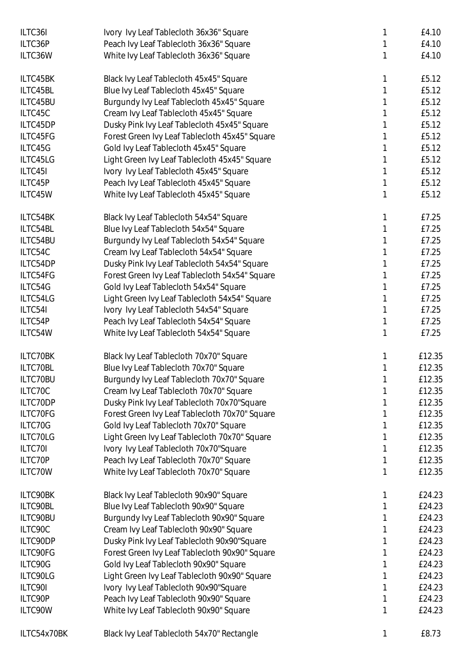| ILTC36I     | Ivory Ivy Leaf Tablecloth 36x36" Square        |   | £4.10  |
|-------------|------------------------------------------------|---|--------|
| ILTC36P     | Peach Ivy Leaf Tablecloth 36x36" Square        |   | £4.10  |
| ILTC36W     | White Ivy Leaf Tablecloth 36x36" Square        |   | £4.10  |
| ILTC45BK    | Black Ivy Leaf Tablecloth 45x45" Square        | 1 | £5.12  |
| ILTC45BL    | Blue Ivy Leaf Tablecloth 45x45" Square         |   | £5.12  |
| ILTC45BU    | Burgundy Ivy Leaf Tablecloth 45x45" Square     |   | £5.12  |
| ILTC45C     | Cream Ivy Leaf Tablecloth 45x45" Square        |   | £5.12  |
| ILTC45DP    | Dusky Pink Ivy Leaf Tablecloth 45x45" Square   |   | £5.12  |
| ILTC45FG    | Forest Green Ivy Leaf Tablecloth 45x45" Square |   | £5.12  |
| ILTC45G     | Gold Ivy Leaf Tablecloth 45x45" Square         |   | £5.12  |
| ILTC45LG    | Light Green Ivy Leaf Tablecloth 45x45" Square  |   | £5.12  |
| ILTC45I     | Ivory Ivy Leaf Tablecloth 45x45" Square        |   | £5.12  |
| ILTC45P     | Peach Ivy Leaf Tablecloth 45x45" Square        |   | £5.12  |
| ILTC45W     | White Ivy Leaf Tablecloth 45x45" Square        |   | £5.12  |
| ILTC54BK    | Black Ivy Leaf Tablecloth 54x54" Square        |   | £7.25  |
| ILTC54BL    | Blue Ivy Leaf Tablecloth 54x54" Square         |   | £7.25  |
| ILTC54BU    | Burgundy Ivy Leaf Tablecloth 54x54" Square     |   | £7.25  |
| ILTC54C     | Cream Ivy Leaf Tablecloth 54x54" Square        |   | £7.25  |
| ILTC54DP    | Dusky Pink Ivy Leaf Tablecloth 54x54" Square   |   | £7.25  |
| ILTC54FG    | Forest Green Ivy Leaf Tablecloth 54x54" Square |   | £7.25  |
| ILTC54G     | Gold Ivy Leaf Tablecloth 54x54" Square         |   | £7.25  |
| ILTC54LG    | Light Green Ivy Leaf Tablecloth 54x54" Square  |   | £7.25  |
| ILTC54I     | Ivory Ivy Leaf Tablecloth 54x54" Square        |   | £7.25  |
| ILTC54P     | Peach Ivy Leaf Tablecloth 54x54" Square        | 1 | £7.25  |
| ILTC54W     | White Ivy Leaf Tablecloth 54x54" Square        |   | £7.25  |
| ILTC70BK    | Black Ivy Leaf Tablecloth 70x70" Square        |   | £12.35 |
| ILTC70BL    | Blue Ivy Leaf Tablecloth 70x70" Square         |   | £12.35 |
| ILTC70BU    | Burgundy Ivy Leaf Tablecloth 70x70" Square     |   | £12.35 |
| ILTC70C     | Cream Ivy Leaf Tablecloth 70x70" Square        |   | £12.35 |
| ILTC70DP    | Dusky Pink Ivy Leaf Tablecloth 70x70"Square    |   | £12.35 |
| ILTC70FG    | Forest Green Ivy Leaf Tablecloth 70x70" Square |   | £12.35 |
| ILTC70G     | Gold Ivy Leaf Tablecloth 70x70" Square         |   | £12.35 |
| ILTC70LG    | Light Green Ivy Leaf Tablecloth 70x70" Square  |   | £12.35 |
| ILTC70I     | Ivory Ivy Leaf Tablecloth 70x70"Square         |   | £12.35 |
| ILTC70P     | Peach Ivy Leaf Tablecloth 70x70" Square        | 1 | £12.35 |
| ILTC70W     | White Ivy Leaf Tablecloth 70x70" Square        | 1 | £12.35 |
| ILTC90BK    | Black Ivy Leaf Tablecloth 90x90" Square        |   | £24.23 |
| ILTC90BL    | Blue Ivy Leaf Tablecloth 90x90" Square         |   | £24.23 |
| ILTC90BU    | Burgundy Ivy Leaf Tablecloth 90x90" Square     |   | £24.23 |
| ILTC90C     | Cream Ivy Leaf Tablecloth 90x90" Square        |   | £24.23 |
| ILTC90DP    | Dusky Pink Ivy Leaf Tablecloth 90x90"Square    |   | £24.23 |
| ILTC90FG    | Forest Green Ivy Leaf Tablecloth 90x90" Square |   | £24.23 |
| ILTC90G     | Gold Ivy Leaf Tablecloth 90x90" Square         |   | £24.23 |
| ILTC90LG    | Light Green Ivy Leaf Tablecloth 90x90" Square  |   | £24.23 |
| ILTC90I     | Ivory Ivy Leaf Tablecloth 90x90"Square         | 1 | £24.23 |
| ILTC90P     | Peach Ivy Leaf Tablecloth 90x90" Square        | 1 | £24.23 |
| ILTC90W     | White Ivy Leaf Tablecloth 90x90" Square        | 1 | £24.23 |
| ILTC54x70BK | Black Ivy Leaf Tablecloth 54x70" Rectangle     |   | £8.73  |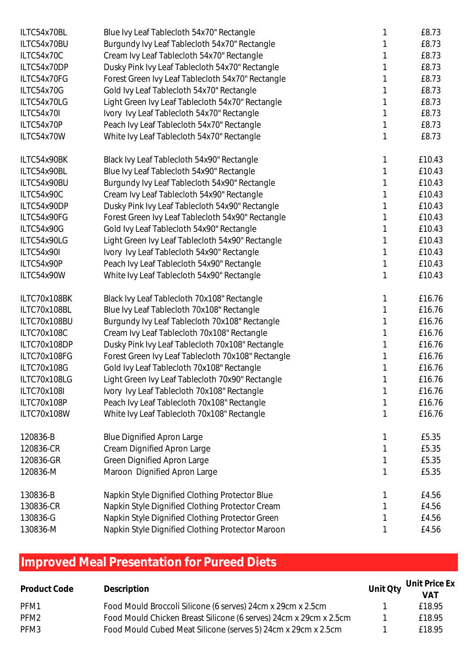| ILTC54x70BL  | Blue Ivy Leaf Tablecloth 54x70" Rectangle          |   | £8.73  |
|--------------|----------------------------------------------------|---|--------|
| ILTC54x70BU  | Burgundy Ivy Leaf Tablecloth 54x70" Rectangle      |   | £8.73  |
| ILTC54x70C   | Cream Ivy Leaf Tablecloth 54x70" Rectangle         |   | £8.73  |
| ILTC54x70DP  | Dusky Pink Ivy Leaf Tablecloth 54x70" Rectangle    |   | £8.73  |
| ILTC54x70FG  | Forest Green Ivy Leaf Tablecloth 54x70" Rectangle  |   | £8.73  |
| ILTC54x70G   | Gold Ivy Leaf Tablecloth 54x70" Rectangle          |   | £8.73  |
| ILTC54x70LG  | Light Green Ivy Leaf Tablecloth 54x70" Rectangle   |   | £8.73  |
| ILTC54x70I   | Ivory Ivy Leaf Tablecloth 54x70" Rectangle         |   | £8.73  |
| ILTC54x70P   | Peach Ivy Leaf Tablecloth 54x70" Rectangle         |   | £8.73  |
| ILTC54x70W   | White Ivy Leaf Tablecloth 54x70" Rectangle         | 1 | £8.73  |
| ILTC54x90BK  | Black Ivy Leaf Tablecloth 54x90" Rectangle         |   | £10.43 |
| ILTC54x90BL  | Blue Ivy Leaf Tablecloth 54x90" Rectangle          |   | £10.43 |
| ILTC54x90BU  | Burgundy Ivy Leaf Tablecloth 54x90" Rectangle      |   | £10.43 |
| ILTC54x90C   | Cream Ivy Leaf Tablecloth 54x90" Rectangle         |   | £10.43 |
| ILTC54x90DP  | Dusky Pink Ivy Leaf Tablecloth 54x90" Rectangle    |   | £10.43 |
| ILTC54x90FG  | Forest Green Ivy Leaf Tablecloth 54x90" Rectangle  |   | £10.43 |
| ILTC54x90G   | Gold Ivy Leaf Tablecloth 54x90" Rectangle          |   | £10.43 |
| ILTC54x90LG  | Light Green Ivy Leaf Tablecloth 54x90" Rectangle   |   | £10.43 |
| ILTC54x90I   | Ivory Ivy Leaf Tablecloth 54x90" Rectangle         |   | £10.43 |
| ILTC54x90P   | Peach Ivy Leaf Tablecloth 54x90" Rectangle         | 1 | £10.43 |
| ILTC54x90W   | White Ivy Leaf Tablecloth 54x90" Rectangle         |   | £10.43 |
| ILTC70x108BK | Black Ivy Leaf Tablecloth 70x108" Rectangle        | 1 | £16.76 |
| ILTC70x108BL | Blue Ivy Leaf Tablecloth 70x108" Rectangle         |   | £16.76 |
| ILTC70x108BU | Burgundy Ivy Leaf Tablecloth 70x108" Rectangle     |   | £16.76 |
| ILTC70x108C  | Cream Ivy Leaf Tablecloth 70x108" Rectangle        |   | £16.76 |
| ILTC70x108DP | Dusky Pink Ivy Leaf Tablecloth 70x108" Rectangle   |   | £16.76 |
| ILTC70x108FG | Forest Green Ivy Leaf Tablecloth 70x108" Rectangle |   | £16.76 |
| ILTC70x108G  | Gold Ivy Leaf Tablecloth 70x108" Rectangle         |   | £16.76 |
| ILTC70x108LG | Light Green Ivy Leaf Tablecloth 70x90" Rectangle   |   | £16.76 |
| ILTC70x108I  | Ivory Ivy Leaf Tablecloth 70x108" Rectangle        |   | £16.76 |
| ILTC70x108P  | Peach Ivy Leaf Tablecloth 70x108" Rectangle        |   | £16.76 |
| ILTC70x108W  | White Ivy Leaf Tablecloth 70x108" Rectangle        |   | £16.76 |
| 120836-B     | <b>Blue Dignified Apron Large</b>                  |   | £5.35  |
| 120836-CR    | Cream Dignified Apron Large                        | 1 | £5.35  |
| 120836-GR    | <b>Green Dignified Apron Large</b>                 | 1 | £5.35  |
| 120836-M     | Maroon Dignified Apron Large                       |   | £5.35  |
| 130836-B     | Napkin Style Dignified Clothing Protector Blue     |   | £4.56  |
| 130836-CR    | Napkin Style Dignified Clothing Protector Cream    |   | £4.56  |
| 130836-G     | Napkin Style Dignified Clothing Protector Green    |   | £4.56  |
| 130836-M     | Napkin Style Dignified Clothing Protector Maroon   |   | £4.56  |

## **Improved Meal Presentation for Pureed Diets**

| Product Code     | Description                                                       | Unit Oty Unit Price Ex<br>VAT |
|------------------|-------------------------------------------------------------------|-------------------------------|
|                  |                                                                   |                               |
| PFM1             | Food Mould Broccoli Silicone (6 serves) 24cm x 29cm x 2.5cm       | f 1895                        |
| PFM <sub>2</sub> | Food Mould Chicken Breast Silicone (6 serves) 24cm x 29cm x 2.5cm | £18.95                        |
| PFM3             | Food Mould Cubed Meat Silicone (serves 5) 24cm x 29cm x 2.5cm     | f 1895                        |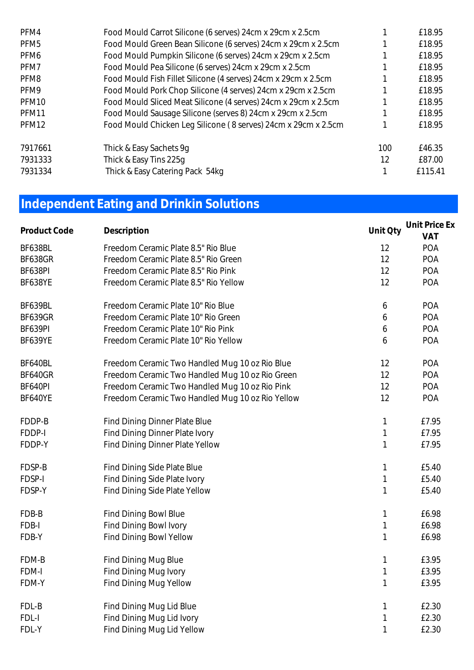| Food Mould Carrot Silicone (6 serves) 24cm x 29cm x 2.5cm      |     | £18.95  |
|----------------------------------------------------------------|-----|---------|
| Food Mould Green Bean Silicone (6 serves) 24cm x 29cm x 2.5cm  |     | £18.95  |
| Food Mould Pumpkin Silicone (6 serves) 24cm x 29cm x 2.5cm     |     | £18.95  |
| Food Mould Pea Silicone (6 serves) 24cm x 29cm x 2.5cm         |     | £18.95  |
| Food Mould Fish Fillet Silicone (4 serves) 24cm x 29cm x 2.5cm |     | £18.95  |
| Food Mould Pork Chop Silicone (4 serves) 24cm x 29cm x 2.5cm   |     | £18.95  |
| Food Mould Sliced Meat Silicone (4 serves) 24cm x 29cm x 2.5cm |     | £18.95  |
| Food Mould Sausage Silicone (serves 8) 24cm x 29cm x 2.5cm     |     | £18.95  |
| Food Mould Chicken Leg Silicone (8 serves) 24cm x 29cm x 2.5cm |     | £18.95  |
| Thick & Easy Sachets 9g                                        | 100 | £46.35  |
| Thick & Easy Tins 225q                                         | 12  | £87.00  |
| Thick & Easy Catering Pack 54kg                                |     | £115.41 |
|                                                                |     |         |

## **Independent Eating and Drinkin Solutions**

| Product Code   | Description                                      | Unit Oty     | Unit Price Ex<br>VAT |
|----------------|--------------------------------------------------|--------------|----------------------|
| BF638BL        | Freedom Ceramic Plate 8.5" Rio Blue              | 12           | POA                  |
| BF638GR        | Freedom Ceramic Plate 8.5" Rio Green             | 12           | POA                  |
| BF638PI        | Freedom Ceramic Plate 8.5" Rio Pink              | 12           | POA                  |
| BF638YE        | Freedom Ceramic Plate 8.5" Rio Yellow            | 12           | POA                  |
| BF639BL        | Freedom Ceramic Plate 10" Rio Blue               | 6            | POA                  |
| BF639GR        | Freedom Ceramic Plate 10" Rio Green              | 6            | POA                  |
| BF639PI        | Freedom Ceramic Plate 10" Rio Pink               | 6            | POA                  |
| BF639YE        | Freedom Ceramic Plate 10" Rio Yellow             | 6            | POA                  |
| BF640BL        | Freedom Ceramic Two Handled Mug 10 oz Rio Blue   | 12           | POA                  |
| <b>BF640GR</b> | Freedom Ceramic Two Handled Mug 10 oz Rio Green  | 12           | POA                  |
| BF640PI        | Freedom Ceramic Two Handled Mug 10 oz Rio Pink   | 12           | POA                  |
| BF640YE        | Freedom Ceramic Two Handled Mug 10 oz Rio Yellow | 12           | POA                  |
| FDDP-B         | Find Dining Dinner Plate Blue                    | $\mathbf{1}$ | £7.95                |
| FDDP-I         | Find Dining Dinner Plate Ivory                   | $\mathbf{1}$ | £7.95                |
| FDDP-Y         | Find Dining Dinner Plate Yellow                  | 1            | £7.95                |
| FDSP-B         | Find Dining Side Plate Blue                      | $\mathbf{1}$ | £5.40                |
| FDSP-I         | Find Dining Side Plate Ivory                     | $\mathbf 1$  | £5.40                |
| FDSP-Y         | Find Dining Side Plate Yellow                    | $\mathbf 1$  | £5.40                |
| FDB-B          | Find Dining Bowl Blue                            | $\mathbf{1}$ | £6.98                |
| FDB-I          | Find Dining Bowl Ivory                           | $\mathbf{1}$ | £6.98                |
| FDB-Y          | Find Dining Bowl Yellow                          | $\mathbf{1}$ | £6.98                |
| FDM-B          | Find Dining Mug Blue                             | 1            | £3.95                |
| FDM-I          | Find Dining Mug Ivory                            | $\mathbf 1$  | £3.95                |
| FDM-Y          | Find Dining Mug Yellow                           | $\mathbf 1$  | £3.95                |
| FDL-B          | Find Dining Mug Lid Blue                         | 1            | £2.30                |
| FDL-I          | Find Dining Mug Lid Ivory                        | $\mathbf 1$  | £2.30                |
| FDL-Y          | Find Dining Mug Lid Yellow                       | $\mathbf{1}$ | £2.30                |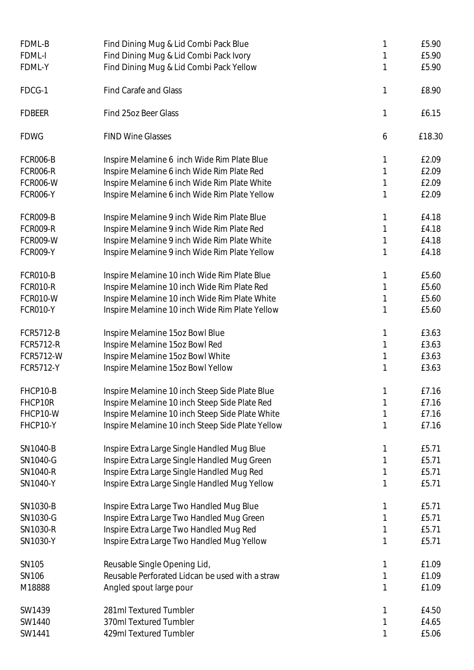| FDML-B           | Find Dining Mug & Lid Combi Pack Blue            | 1 | £5.90  |
|------------------|--------------------------------------------------|---|--------|
| FDML-I           | Find Dining Mug & Lid Combi Pack Ivory           | 1 | £5.90  |
| FDML-Y           | Find Dining Mug & Lid Combi Pack Yellow          | 1 | £5.90  |
| FDCG-1           | Find Carafe and Glass                            | 1 | £8.90  |
| <b>FDBEER</b>    | Find 25oz Beer Glass                             | 1 | £6.15  |
| <b>FDWG</b>      | <b>FIND Wine Glasses</b>                         | 6 | £18.30 |
| <b>FCR006-B</b>  | Inspire Melamine 6 inch Wide Rim Plate Blue      | 1 | £2.09  |
| <b>FCR006-R</b>  | Inspire Melamine 6 inch Wide Rim Plate Red       | 1 | £2.09  |
| <b>FCR006-W</b>  | Inspire Melamine 6 inch Wide Rim Plate White     | 1 | £2.09  |
| <b>FCR006-Y</b>  | Inspire Melamine 6 inch Wide Rim Plate Yellow    | 1 | £2.09  |
| <b>FCR009-B</b>  | Inspire Melamine 9 inch Wide Rim Plate Blue      | 1 | £4.18  |
| <b>FCR009-R</b>  | Inspire Melamine 9 inch Wide Rim Plate Red       | 1 | £4.18  |
| <b>FCR009-W</b>  | Inspire Melamine 9 inch Wide Rim Plate White     | 1 | £4.18  |
| FCR009-Y         | Inspire Melamine 9 inch Wide Rim Plate Yellow    | 1 | £4.18  |
| FCR010-B         | Inspire Melamine 10 inch Wide Rim Plate Blue     | 1 | £5.60  |
| <b>FCR010-R</b>  | Inspire Melamine 10 inch Wide Rim Plate Red      | 1 | £5.60  |
| FCR010-W         | Inspire Melamine 10 inch Wide Rim Plate White    | 1 | £5.60  |
| FCR010-Y         | Inspire Melamine 10 inch Wide Rim Plate Yellow   | 1 | £5.60  |
| <b>FCR5712-B</b> | Inspire Melamine 15oz Bowl Blue                  | 1 | £3.63  |
| FCR5712-R        | Inspire Melamine 15oz Bowl Red                   | 1 | £3.63  |
| FCR5712-W        | Inspire Melamine 15oz Bowl White                 | 1 | £3.63  |
| FCR5712-Y        | Inspire Melamine 15oz Bowl Yellow                | 1 | £3.63  |
| FHCP10-B         | Inspire Melamine 10 inch Steep Side Plate Blue   |   | £7.16  |
| FHCP10R          | Inspire Melamine 10 inch Steep Side Plate Red    | 1 | £7.16  |
| FHCP10-W         | Inspire Melamine 10 inch Steep Side Plate White  | 1 | £7.16  |
| FHCP10-Y         | Inspire Melamine 10 inch Steep Side Plate Yellow | 1 | £7.16  |
| SN1040-B         | Inspire Extra Large Single Handled Mug Blue      |   | £5.71  |
| SN1040-G         | Inspire Extra Large Single Handled Mug Green     | 1 | £5.71  |
| SN1040-R         | Inspire Extra Large Single Handled Mug Red       | 1 | £5.71  |
| SN1040-Y         | Inspire Extra Large Single Handled Mug Yellow    | 1 | £5.71  |
| SN1030-B         | Inspire Extra Large Two Handled Mug Blue         |   | £5.71  |
| SN1030-G         | Inspire Extra Large Two Handled Mug Green        | 1 | £5.71  |
| SN1030-R         | Inspire Extra Large Two Handled Mug Red          |   | £5.71  |
| SN1030-Y         | Inspire Extra Large Two Handled Mug Yellow       | 1 | £5.71  |
| <b>SN105</b>     | Reusable Single Opening Lid,                     | 1 | £1.09  |
| SN106            | Reusable Perforated Lidcan be used with a straw  | 1 | £1.09  |
| M18888           | Angled spout large pour                          | 1 | £1.09  |
| SW1439           | 281ml Textured Tumbler                           |   | £4.50  |
| SW1440           | 370ml Textured Tumbler                           | 1 | £4.65  |
| SW1441           | 429ml Textured Tumbler                           | 1 | £5.06  |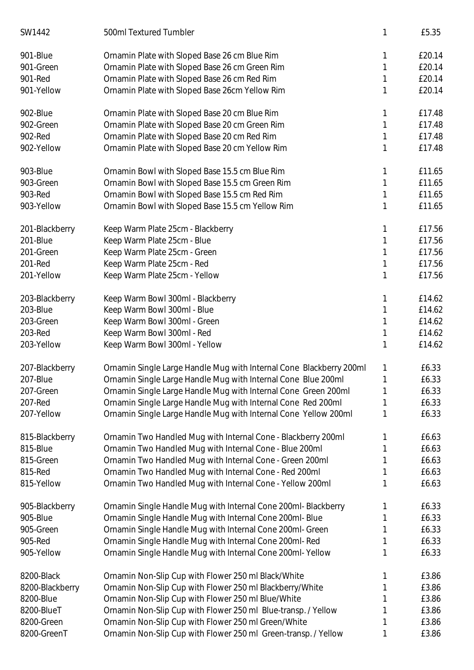| SW1442          | 500ml Textured Tumbler                                              | 1 | £5.35  |
|-----------------|---------------------------------------------------------------------|---|--------|
| 901-Blue        | Ornamin Plate with Sloped Base 26 cm Blue Rim                       | 1 | £20.14 |
| 901-Green       | Ornamin Plate with Sloped Base 26 cm Green Rim                      | 1 | £20.14 |
| 901-Red         | Ornamin Plate with Sloped Base 26 cm Red Rim                        | 1 | £20.14 |
| 901-Yellow      | Ornamin Plate with Sloped Base 26cm Yellow Rim                      | 1 | £20.14 |
| 902-Blue        | Ornamin Plate with Sloped Base 20 cm Blue Rim                       | 1 | £17.48 |
| 902-Green       | Ornamin Plate with Sloped Base 20 cm Green Rim                      | 1 | £17.48 |
| 902-Red         | Ornamin Plate with Sloped Base 20 cm Red Rim                        | 1 | £17.48 |
| 902-Yellow      | Ornamin Plate with Sloped Base 20 cm Yellow Rim                     | 1 | £17.48 |
| 903-Blue        | Ornamin Bowl with Sloped Base 15.5 cm Blue Rim                      | 1 | £11.65 |
| 903-Green       | Ornamin Bowl with Sloped Base 15.5 cm Green Rim                     | 1 | £11.65 |
| 903-Red         | Ornamin Bowl with Sloped Base 15.5 cm Red Rim                       | 1 | £11.65 |
| 903-Yellow      | Ornamin Bowl with Sloped Base 15.5 cm Yellow Rim                    | 1 | £11.65 |
| 201-Blackberry  | Keep Warm Plate 25cm - Blackberry                                   | 1 | £17.56 |
| 201-Blue        | Keep Warm Plate 25cm - Blue                                         | 1 | £17.56 |
| 201-Green       | Keep Warm Plate 25cm - Green                                        | 1 | £17.56 |
| 201-Red         | Keep Warm Plate 25cm - Red                                          | 1 | £17.56 |
| 201-Yellow      | Keep Warm Plate 25cm - Yellow                                       | 1 | £17.56 |
| 203-Blackberry  | Keep Warm Bowl 300ml - Blackberry                                   | 1 | £14.62 |
| 203-Blue        | Keep Warm Bowl 300ml - Blue                                         | 1 | £14.62 |
| 203-Green       | Keep Warm Bowl 300ml - Green                                        | 1 | £14.62 |
| 203-Red         | Keep Warm Bowl 300ml - Red                                          | 1 | £14.62 |
| 203-Yellow      | Keep Warm Bowl 300ml - Yellow                                       | 1 | £14.62 |
| 207-Blackberry  | Ornamin Single Large Handle Mug with Internal Cone Blackberry 200ml | 1 | £6.33  |
| 207-Blue        | Ornamin Single Large Handle Mug with Internal Cone Blue 200ml       | 1 | £6.33  |
| 207-Green       | Ornamin Single Large Handle Mug with Internal Cone Green 200ml      | 1 | £6.33  |
| 207-Red         | Ornamin Single Large Handle Mug with Internal Cone Red 200ml        |   | £6.33  |
| 207-Yellow      | Ornamin Single Large Handle Mug with Internal Cone Yellow 200ml     | 1 | £6.33  |
| 815-Blackberry  | Ornamin Two Handled Mug with Internal Cone - Blackberry 200ml       |   | £6.63  |
| 815-Blue        | Ornamin Two Handled Mug with Internal Cone - Blue 200ml             |   | £6.63  |
| 815-Green       | Ornamin Two Handled Mug with Internal Cone - Green 200ml            |   | £6.63  |
| 815-Red         | Ornamin Two Handled Mug with Internal Cone - Red 200ml              | 1 | £6.63  |
| 815-Yellow      | Ornamin Two Handled Mug with Internal Cone - Yellow 200ml           |   | £6.63  |
| 905-Blackberry  | Ornamin Single Handle Mug with Internal Cone 200ml- Blackberry      | 1 | £6.33  |
| 905-Blue        | Ornamin Single Handle Mug with Internal Cone 200ml- Blue            |   | £6.33  |
| 905-Green       | Ornamin Single Handle Mug with Internal Cone 200ml- Green           |   | £6.33  |
| 905-Red         | Ornamin Single Handle Mug with Internal Cone 200ml-Red              |   | £6.33  |
| 905-Yellow      | Ornamin Single Handle Mug with Internal Cone 200ml-Yellow           | 1 | £6.33  |
| 8200-Black      | Ornamin Non-Slip Cup with Flower 250 ml Black/White                 |   | £3.86  |
| 8200-Blackberry | Ornamin Non-Slip Cup with Flower 250 ml Blackberry/White            |   | £3.86  |
| 8200-Blue       | Ornamin Non-Slip Cup with Flower 250 ml Blue/White                  |   | £3.86  |
| 8200-BlueT      | Ornamin Non-Slip Cup with Flower 250 ml Blue-transp. / Yellow       |   | £3.86  |
| 8200-Green      | Ornamin Non-Slip Cup with Flower 250 ml Green/White                 |   | £3.86  |
| 8200-GreenT     | Ornamin Non-Slip Cup with Flower 250 ml Green-transp. / Yellow      | 1 | £3.86  |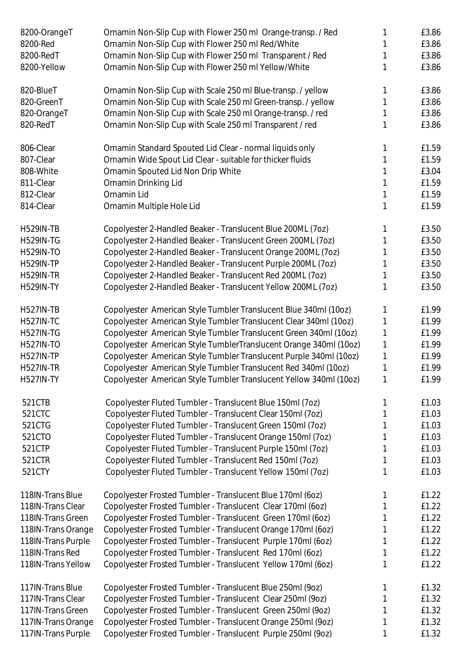| 8200-OrangeT<br>8200-Red | Ornamin Non-Slip Cup with Flower 250 ml Orange-transp. / Red<br>Ornamin Non-Slip Cup with Flower 250 ml Red/White |   | £3.86<br>£3.86 |
|--------------------------|-------------------------------------------------------------------------------------------------------------------|---|----------------|
| 8200-RedT                | Ornamin Non-Slip Cup with Flower 250 ml Transparent / Red                                                         |   | £3.86          |
| 8200-Yellow              | Ornamin Non-Slip Cup with Flower 250 ml Yellow/White                                                              |   | £3.86          |
| 820-BlueT                | Ornamin Non-Slip Cup with Scale 250 ml Blue-transp. / yellow                                                      |   | £3.86          |
| 820-GreenT               | Ornamin Non-Slip Cup with Scale 250 ml Green-transp. / yellow                                                     |   | £3.86          |
| 820-OrangeT              | Ornamin Non-Slip Cup with Scale 250 ml Orange-transp. / red                                                       |   | £3.86          |
| 820-RedT                 | Ornamin Non-Slip Cup with Scale 250 ml Transparent / red                                                          |   | £3.86          |
| 806-Clear                | Ornamin Standard Spouted Lid Clear - normal liquids only                                                          |   | £1.59          |
| 807-Clear                | Ornamin Wide Spout Lid Clear - suitable for thicker fluids                                                        |   | £1.59          |
| 808-White                | Ornamin Spouted Lid Non Drip White                                                                                |   | £3.04          |
| 811-Clear                | Ornamin Drinking Lid                                                                                              |   | £1.59          |
| 812-Clear                | Ornamin Lid                                                                                                       |   | £1.59          |
| 814-Clear                | Ornamin Multiple Hole Lid                                                                                         |   | £1.59          |
| <b>H529IN-TB</b>         | Copolyester 2-Handled Beaker - Translucent Blue 200ML (7oz)                                                       |   | £3.50          |
| <b>H529IN-TG</b>         | Copolyester 2-Handled Beaker - Translucent Green 200ML (7oz)                                                      |   | £3.50          |
| H529IN-TO                | Copolyester 2-Handled Beaker - Translucent Orange 200ML (7oz)                                                     |   | £3.50          |
| <b>H529IN-TP</b>         | Copolyester 2-Handled Beaker - Translucent Purple 200ML (7oz)                                                     |   | £3.50          |
| <b>H529IN-TR</b>         | Copolyester 2-Handled Beaker - Translucent Red 200ML (7oz)                                                        |   | £3.50          |
| <b>H529IN-TY</b>         | Copolyester 2-Handled Beaker - Translucent Yellow 200ML (7oz)                                                     |   | £3.50          |
| <b>H527IN-TB</b>         | Copolyester American Style Tumbler Translucent Blue 340ml (10oz)                                                  |   | £1.99          |
| <b>H527IN-TC</b>         | Copolyester American Style Tumbler Translucent Clear 340ml (10oz)                                                 |   | £1.99          |
| <b>H527IN-TG</b>         | Copolyester American Style Tumbler Translucent Green 340ml (10oz)                                                 |   | £1.99          |
| <b>H527IN-TO</b>         | Copolyester American Style TumblerTranslucent Orange 340ml (10oz)                                                 | 1 | £1.99          |
| <b>H527IN-TP</b>         | Copolyester American Style Tumbler Translucent Purple 340ml (10oz)                                                |   | £1.99          |
| <b>H527IN-TR</b>         | Copolyester American Style Tumbler Translucent Red 340ml (10oz)                                                   |   | £1.99          |
| H527IN-TY                | Copolyester American Style Tumbler Translucent Yellow 340ml (10oz)                                                |   | £1.99          |
| 521CTB                   | Copolyester Fluted Tumbler - Translucent Blue 150ml (7oz)                                                         | 1 | £1.03          |
| 521CTC                   | Copolyester Fluted Tumbler - Translucent Clear 150ml (7oz)                                                        |   | £1.03          |
| 521CTG                   | Copolyester Fluted Tumbler - Translucent Green 150ml (7oz)                                                        |   | £1.03          |
| 521CTO                   | Copolyester Fluted Tumbler - Translucent Orange 150ml (7oz)                                                       |   | £1.03          |
| 521CTP                   | Copolyester Fluted Tumbler - Translucent Purple 150ml (7oz)                                                       |   | £1.03          |
| 521CTR                   | Copolyester Fluted Tumbler - Translucent Red 150ml (7oz)                                                          |   | £1.03          |
| 521CTY                   | Copolyester Fluted Tumbler - Translucent Yellow 150ml (7oz)                                                       |   | £1.03          |
| 118IN-Trans Blue         | Copolyester Frosted Tumbler - Translucent Blue 170ml (60z)                                                        |   | £1.22          |
| 118IN-Trans Clear        | Copolyester Frosted Tumbler - Translucent Clear 170ml (60z)                                                       |   | £1.22          |
| 118IN-Trans Green        | Copolyester Frosted Tumbler - Translucent Green 170ml (60z)                                                       |   | £1.22          |
| 118IN-Trans Orange       | Copolyester Frosted Tumbler - Translucent Orange 170ml (60z)                                                      |   | £1.22          |
| 118IN-Trans Purple       | Copolyester Frosted Tumbler - Translucent Purple 170ml (60z)                                                      |   | £1.22          |
| 118IN-Trans Red          | Copolyester Frosted Tumbler - Translucent Red 170ml (60z)                                                         |   | £1.22          |
| 118IN-Trans Yellow       | Copolyester Frosted Tumbler - Translucent Yellow 170ml (60z)                                                      | 1 | £1.22          |
| 117IN-Trans Blue         | Copolyester Frosted Tumbler - Translucent Blue 250ml (9oz)                                                        |   | £1.32          |
| 117IN-Trans Clear        | Copolyester Frosted Tumbler - Translucent Clear 250ml (9oz)                                                       |   | £1.32          |
| 117IN-Trans Green        | Copolyester Frosted Tumbler - Translucent Green 250ml (9oz)                                                       |   | £1.32          |
| 117IN-Trans Orange       | Copolyester Frosted Tumbler - Translucent Orange 250ml (9oz)                                                      |   | £1.32          |
| 117IN-Trans Purple       | Copolyester Frosted Tumbler - Translucent Purple 250ml (9oz)                                                      |   | £1.32          |
|                          |                                                                                                                   |   |                |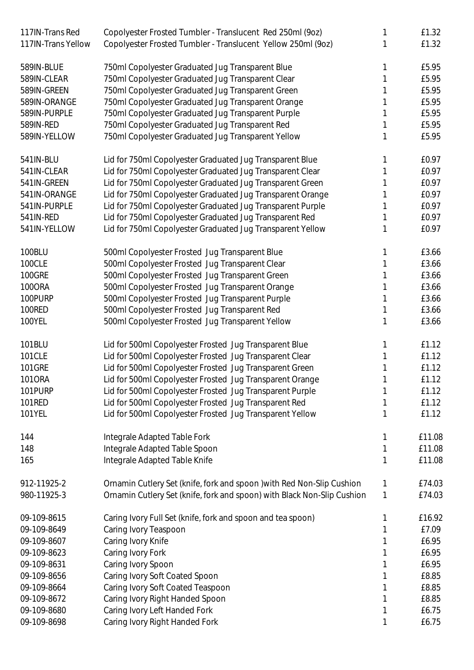| 117IN-Trans Red    | Copolyester Frosted Tumbler - Translucent Red 250ml (9oz)               |   | £1.32  |
|--------------------|-------------------------------------------------------------------------|---|--------|
| 117IN-Trans Yellow | Copolyester Frosted Tumbler - Translucent Yellow 250ml (9oz)            |   | £1.32  |
| 589IN-BLUE         | 750ml Copolyester Graduated Jug Transparent Blue                        |   | £5.95  |
| 589IN-CLEAR        | 750ml Copolyester Graduated Jug Transparent Clear                       |   | £5.95  |
| 589IN-GREEN        | 750ml Copolyester Graduated Jug Transparent Green                       |   | £5.95  |
| 589IN-ORANGE       | 750ml Copolyester Graduated Jug Transparent Orange                      |   | £5.95  |
| 589IN-PURPLE       | 750ml Copolyester Graduated Jug Transparent Purple                      |   | £5.95  |
| 589IN-RED          | 750ml Copolyester Graduated Jug Transparent Red                         |   | £5.95  |
| 589IN-YELLOW       | 750ml Copolyester Graduated Jug Transparent Yellow                      |   | £5.95  |
| 541IN-BLU          | Lid for 750ml Copolyester Graduated Jug Transparent Blue                |   | £0.97  |
| 541IN-CLEAR        | Lid for 750ml Copolyester Graduated Jug Transparent Clear               |   | £0.97  |
| 541IN-GREEN        | Lid for 750ml Copolyester Graduated Jug Transparent Green               |   | £0.97  |
| 541IN-ORANGE       | Lid for 750ml Copolyester Graduated Jug Transparent Orange              |   | £0.97  |
| 541IN-PURPLE       | Lid for 750ml Copolyester Graduated Jug Transparent Purple              |   | £0.97  |
| 541IN-RED          | Lid for 750ml Copolyester Graduated Jug Transparent Red                 |   | £0.97  |
| 541IN-YELLOW       | Lid for 750ml Copolyester Graduated Jug Transparent Yellow              |   | £0.97  |
| 100BLU             | 500ml Copolyester Frosted Jug Transparent Blue                          |   | £3.66  |
| 100CLE             | 500ml Copolyester Frosted Jug Transparent Clear                         |   | £3.66  |
| <b>100GRE</b>      | 500ml Copolyester Frosted Jug Transparent Green                         |   | £3.66  |
| <b>1000RA</b>      | 500ml Copolyester Frosted Jug Transparent Orange                        |   | £3.66  |
| 100PURP            | 500ml Copolyester Frosted Jug Transparent Purple                        |   | £3.66  |
| 100RED             | 500ml Copolyester Frosted Jug Transparent Red                           |   | £3.66  |
| 100YEL             | 500ml Copolyester Frosted Jug Transparent Yellow                        |   | £3.66  |
| 101BLU             | Lid for 500ml Copolyester Frosted Jug Transparent Blue                  |   | £1.12  |
| 101CLE             | Lid for 500ml Copolyester Frosted Jug Transparent Clear                 |   | £1.12  |
| <b>101GRE</b>      | Lid for 500ml Copolyester Frosted Jug Transparent Green                 |   | £1.12  |
| 1010RA             | Lid for 500ml Copolyester Frosted Jug Transparent Orange                |   | £1.12  |
| 101PURP            | Lid for 500ml Copolyester Frosted Jug Transparent Purple                |   | £1.12  |
| 101RED             | Lid for 500ml Copolyester Frosted Jug Transparent Red                   |   | £1.12  |
| 101YEL             | Lid for 500ml Copolyester Frosted Jug Transparent Yellow                |   | £1.12  |
| 144                | Integrale Adapted Table Fork                                            |   | £11.08 |
| 148                | Integrale Adapted Table Spoon                                           | 1 | £11.08 |
| 165                | Integrale Adapted Table Knife                                           | 1 | £11.08 |
| 912-11925-2        | Ornamin Cutlery Set (knife, fork and spoon ) with Red Non-Slip Cushion  | 1 | £74.03 |
| 980-11925-3        | Ornamin Cutlery Set (knife, fork and spoon) with Black Non-Slip Cushion | 1 | £74.03 |
| 09-109-8615        | Caring Ivory Full Set (knife, fork and spoon and tea spoon)             |   | £16.92 |
| 09-109-8649        | Caring Ivory Teaspoon                                                   |   | £7.09  |
| 09-109-8607        | Caring Ivory Knife                                                      |   | £6.95  |
| 09-109-8623        | Caring Ivory Fork                                                       |   | £6.95  |
| 09-109-8631        | Caring Ivory Spoon                                                      |   | £6.95  |
| 09-109-8656        | Caring Ivory Soft Coated Spoon                                          |   | £8.85  |
| 09-109-8664        | Caring Ivory Soft Coated Teaspoon                                       |   | £8.85  |
| 09-109-8672        | Caring Ivory Right Handed Spoon                                         |   | £8.85  |
| 09-109-8680        | Caring Ivory Left Handed Fork                                           |   | £6.75  |
| 09-109-8698        | Caring Ivory Right Handed Fork                                          |   | £6.75  |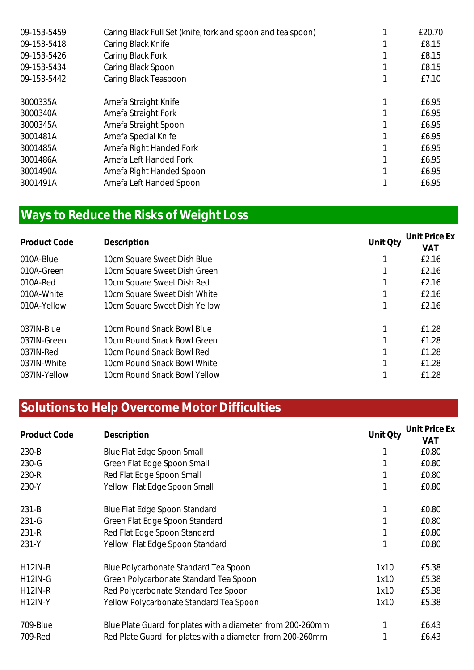| Caring Black Full Set (knife, fork and spoon and tea spoon) | £20.70 |
|-------------------------------------------------------------|--------|
| Caring Black Knife                                          | £8.15  |
| Caring Black Fork                                           | £8.15  |
| Caring Black Spoon                                          | £8.15  |
| Caring Black Teaspoon                                       | £7.10  |
| Amefa Straight Knife                                        | £6.95  |
| Amefa Straight Fork                                         | £6.95  |
| Amefa Straight Spoon                                        | £6.95  |
| Amefa Special Knife                                         | £6.95  |
| Amefa Right Handed Fork                                     | £6.95  |
| Amefa Left Handed Fork                                      | £6.95  |
| Amefa Right Handed Spoon                                    | £6.95  |
| Amefa Left Handed Spoon                                     | £6.95  |
|                                                             |        |

### **Ways to Reduce the Risks of Weight Loss**

| <b>Product Code</b> | Description                   | Unit Oty | Unit Price Ex<br><b>VAT</b> |
|---------------------|-------------------------------|----------|-----------------------------|
| 010A-Blue           | 10cm Square Sweet Dish Blue   |          | £2.16                       |
| 010A-Green          | 10cm Square Sweet Dish Green  |          | £2.16                       |
| 010A-Red            | 10cm Square Sweet Dish Red    |          | £2.16                       |
| 010A-White          | 10cm Square Sweet Dish White  |          | £2.16                       |
| 010A-Yellow         | 10cm Square Sweet Dish Yellow |          | £2.16                       |
| 037IN-Blue          | 10cm Round Snack Bowl Blue    |          | £1.28                       |
| 037IN-Green         | 10cm Round Snack Bowl Green   |          | £1.28                       |
| 037IN-Red           | 10cm Round Snack Bowl Red     |          | £1.28                       |
| 037IN-White         | 10cm Round Snack Bowl White   |          | £1.28                       |
| 037IN-Yellow        | 10cm Round Snack Bowl Yellow  |          | £1.28                       |

#### **Solutions to Help Overcome Motor Difficulties**

| Product Code   | Description                                                | Unit Oty | Unit Price Ex |
|----------------|------------------------------------------------------------|----------|---------------|
|                |                                                            |          | VAT           |
| $230 - B$      | Blue Flat Edge Spoon Small                                 |          | £0.80         |
| 230-G          | Green Flat Edge Spoon Small                                |          | £0.80         |
| 230-R          | Red Flat Edge Spoon Small                                  |          | £0.80         |
| 230-Y          | Yellow Flat Edge Spoon Small                               |          | £0.80         |
| $231-B$        | Blue Flat Edge Spoon Standard                              |          | £0.80         |
| $231 - G$      | Green Flat Edge Spoon Standard                             |          | £0.80         |
| 231-R          | Red Flat Edge Spoon Standard                               |          | £0.80         |
| 231-Y          | Yellow Flat Edge Spoon Standard                            |          | £0.80         |
| <b>H12IN-B</b> | Blue Polycarbonate Standard Tea Spoon                      | 1x10     | £5.38         |
| <b>H12IN-G</b> | Green Polycarbonate Standard Tea Spoon                     | 1x10     | £5.38         |
| <b>H12IN-R</b> | Red Polycarbonate Standard Tea Spoon                       | 1x10     | £5.38         |
| <b>H12IN-Y</b> | Yellow Polycarbonate Standard Tea Spoon                    | 1x10     | £5.38         |
| 709-Blue       | Blue Plate Guard for plates with a diameter from 200-260mm |          | £6.43         |
| 709-Red        | Red Plate Guard for plates with a diameter from 200-260mm  |          | £6.43         |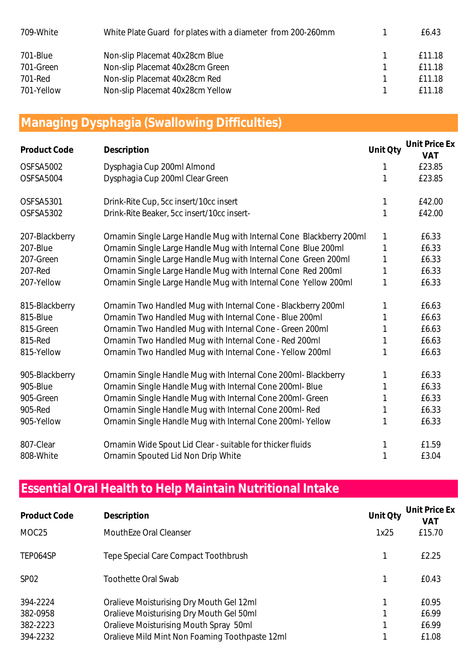| 709-White  | White Plate Guard for plates with a diameter from 200-260mm | F6.43   |
|------------|-------------------------------------------------------------|---------|
| 701-Blue   | Non-slip Placemat 40x28cm Blue                              | f 11.18 |
| 701-Green  | Non-slip Placemat 40x28cm Green                             | f 11.18 |
| 701-Red    | Non-slip Placemat 40x28cm Red                               | f 11.18 |
| 701-Yellow | Non-slip Placemat 40x28cm Yellow                            | f 11 18 |

#### **Managing Dysphagia (Swallowing Difficulties)**

| Product Code   | Description                                                         | Unit Qty | Unit Price Ex<br><b>VAT</b> |
|----------------|---------------------------------------------------------------------|----------|-----------------------------|
| OSFSA5002      | Dysphagia Cup 200ml Almond                                          | 1        | £23.85                      |
| OSFSA5004      | Dysphagia Cup 200ml Clear Green                                     |          | £23.85                      |
| OSFSA5301      | Drink-Rite Cup, 5cc insert/10cc insert                              | 1        | £42.00                      |
| OSFSA5302      | Drink-Rite Beaker, 5cc insert/10cc insert-                          | 1        | £42.00                      |
| 207-Blackberry | Ornamin Single Large Handle Mug with Internal Cone Blackberry 200ml | 1        | £6.33                       |
| 207-Blue       | Ornamin Single Large Handle Mug with Internal Cone Blue 200ml       |          | £6.33                       |
| 207-Green      | Ornamin Single Large Handle Mug with Internal Cone Green 200ml      | 1        | £6.33                       |
| 207-Red        | Ornamin Single Large Handle Mug with Internal Cone Red 200ml        | 1        | £6.33                       |
| 207-Yellow     | Ornamin Single Large Handle Mug with Internal Cone Yellow 200ml     | 1        | £6.33                       |
| 815-Blackberry | Ornamin Two Handled Mug with Internal Cone - Blackberry 200ml       | 1        | £6.63                       |
| 815-Blue       | Ornamin Two Handled Mug with Internal Cone - Blue 200ml             |          | £6.63                       |
| 815-Green      | Ornamin Two Handled Mug with Internal Cone - Green 200ml            |          | £6.63                       |
| 815-Red        | Ornamin Two Handled Mug with Internal Cone - Red 200ml              | 1        | £6.63                       |
| 815-Yellow     | Ornamin Two Handled Mug with Internal Cone - Yellow 200ml           |          | £6.63                       |
| 905-Blackberry | Ornamin Single Handle Mug with Internal Cone 200ml- Blackberry      | 1        | £6.33                       |
| 905-Blue       | Ornamin Single Handle Mug with Internal Cone 200ml- Blue            |          | £6.33                       |
| 905-Green      | Ornamin Single Handle Mug with Internal Cone 200ml- Green           |          | £6.33                       |
| 905-Red        | Ornamin Single Handle Mug with Internal Cone 200ml-Red              | 1        | £6.33                       |
| 905-Yellow     | Ornamin Single Handle Mug with Internal Cone 200ml-Yellow           |          | £6.33                       |
| 807-Clear      | Ornamin Wide Spout Lid Clear - suitable for thicker fluids          |          | £1.59                       |
| 808-White      | Ornamin Spouted Lid Non Drip White                                  | 1        | £3.04                       |

### **Essential Oral Health to Help Maintain Nutritional Intake**

| <b>Product Code</b> | Description                                    | Unit Qty | Unit Price Ex<br>VAT |
|---------------------|------------------------------------------------|----------|----------------------|
| MOC25               | MouthEze Oral Cleanser                         | 1x25     | £15.70               |
| TEP064SP            | Tepe Special Care Compact Toothbrush           |          | £2.25                |
| SP <sub>02</sub>    | <b>Toothette Oral Swab</b>                     |          | £0.43                |
| 394-2224            | Oralieve Moisturising Dry Mouth Gel 12ml       |          | £0.95                |
| 382-0958            | Oralieve Moisturising Dry Mouth Gel 50ml       |          | £6.99                |
| 382-2223            | Oralieve Moisturising Mouth Spray 50ml         |          | £6.99                |
| 394-2232            | Oralieve Mild Mint Non Foaming Toothpaste 12ml |          | £1.08                |